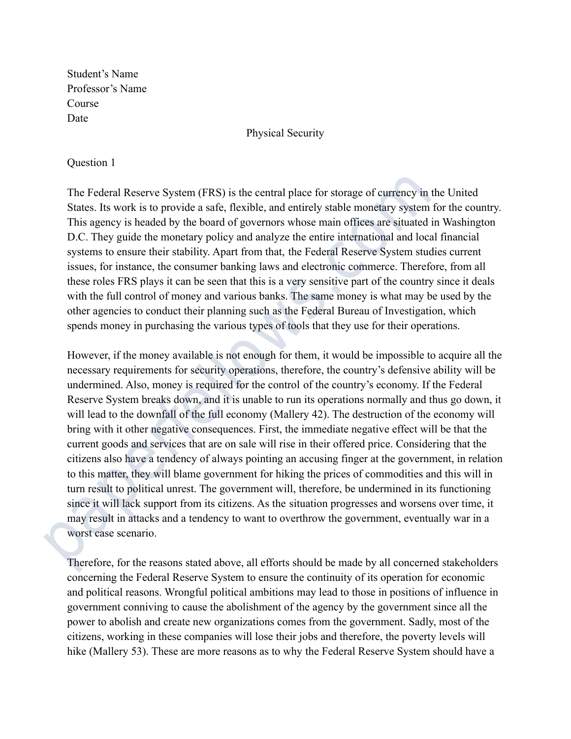Student's Name Professor's Name Course Date

Physical Security

### Question 1

The Federal Reserve System (FRS) is the central place for storage of currency in the United States. Its work is to provide a safe, flexible, and entirely stable monetary system for the country. This agency is headed by the board of governors whose main offices are situated in Washington D.C. They guide the monetary policy and analyze the entire international and local financial systems to ensure their stability. Apart from that, the Federal Reserve System studies current issues, for instance, the consumer banking laws and electronic commerce. Therefore, from all these roles FRS plays it can be seen that this is a very sensitive part of the country since it deals with the full control of money and various banks. The same money is what may be used by the other agencies to conduct their planning such as the Federal Bureau of Investigation, which spends money in purchasing the various types of tools that they use for their operations.

However, if the money available is not enough for them, it would be impossible to acquire all the necessary requirements for security operations, therefore, the country's defensive ability will be undermined. Also, money is required for the control of the country's economy. If the Federal Reserve System breaks down, and it is unable to run its operations normally and thus go down, it will lead to the downfall of the full economy (Mallery 42). The destruction of the economy will bring with it other negative consequences. First, the immediate negative effect will be that the current goods and services that are on sale will rise in their offered price. Considering that the citizens also have a tendency of always pointing an accusing finger at the government, in relation to this matter, they will blame government for hiking the prices of commodities and this will in turn result to political unrest. The government will, therefore, be undermined in its functioning since it will lack support from its citizens. As the situation progresses and worsens over time, it may result in attacks and a tendency to want to overthrow the government, eventually war in a worst case scenario. The Federal Reserve System (FRS) is the central place for storage of currency in States. Its work is to provide a safe, flexible, and entirely stable monetary system This agency is headed by the board of governors whose ma

Therefore, for the reasons stated above, all efforts should be made by all concerned stakeholders concerning the Federal Reserve System to ensure the continuity of its operation for economic and political reasons. Wrongful political ambitions may lead to those in positions of influence in government conniving to cause the abolishment of the agency by the government since all the power to abolish and create new organizations comes from the government. Sadly, most of the citizens, working in these companies will lose their jobs and therefore, the poverty levels will hike (Mallery 53). These are more reasons as to why the Federal Reserve System should have a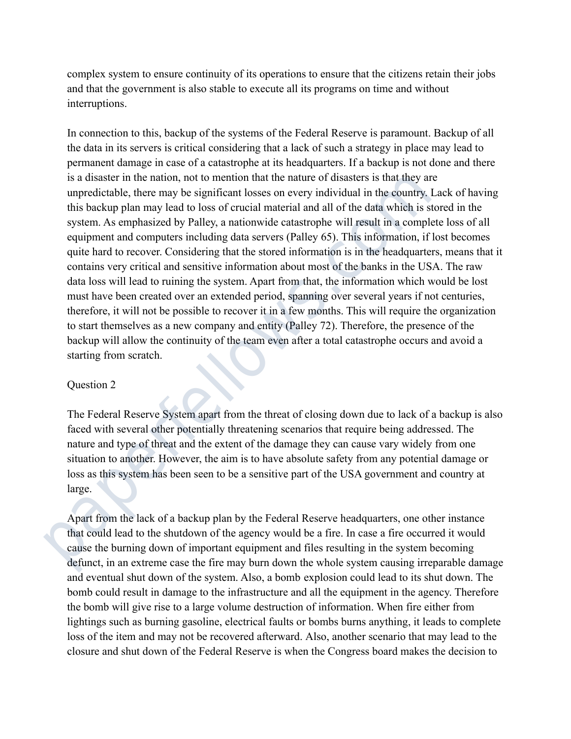complex system to ensure continuity of its operations to ensure that the citizens retain their jobs and that the government is also stable to execute all its programs on time and without interruptions.

In connection to this, backup of the systems of the Federal Reserve is paramount. Backup of all the data in its servers is critical considering that a lack of such a strategy in place may lead to permanent damage in case of a catastrophe at its headquarters. If a backup is not done and there is a disaster in the nation, not to mention that the nature of disasters is that they are unpredictable, there may be significant losses on every individual in the country. Lack of having this backup plan may lead to loss of crucial material and all of the data which is stored in the system. As emphasized by Palley, a nationwide catastrophe will result in a complete loss of all equipment and computers including data servers (Palley 65). This information, if lost becomes quite hard to recover. Considering that the stored information is in the headquarters, means that it contains very critical and sensitive information about most of the banks in the USA. The raw data loss will lead to ruining the system. Apart from that, the information which would be lost must have been created over an extended period, spanning over several years if not centuries, therefore, it will not be possible to recover it in a few months. This will require the organization to start themselves as a new company and entity (Palley 72). Therefore, the presence of the backup will allow the continuity of the team even after a total catastrophe occurs and avoid a starting from scratch. is a disaster in the nation, not to mention that the nature of disasters is that they are unpredictable, there may be significant loses on every individual in the country. This backup plan may lead to loss of crucial mate

# Question 2

The Federal Reserve System apart from the threat of closing down due to lack of a backup is also faced with several other potentially threatening scenarios that require being addressed. The nature and type of threat and the extent of the damage they can cause vary widely from one situation to another. However, the aim is to have absolute safety from any potential damage or loss as this system has been seen to be a sensitive part of the USA government and country at large.

Apart from the lack of a backup plan by the Federal Reserve headquarters, one other instance that could lead to the shutdown of the agency would be a fire. In case a fire occurred it would cause the burning down of important equipment and files resulting in the system becoming defunct, in an extreme case the fire may burn down the whole system causing irreparable damage and eventual shut down of the system. Also, a bomb explosion could lead to its shut down. The bomb could result in damage to the infrastructure and all the equipment in the agency. Therefore the bomb will give rise to a large volume destruction of information. When fire either from lightings such as burning gasoline, electrical faults or bombs burns anything, it leads to complete loss of the item and may not be recovered afterward. Also, another scenario that may lead to the closure and shut down of the Federal Reserve is when the Congress board makes the decision to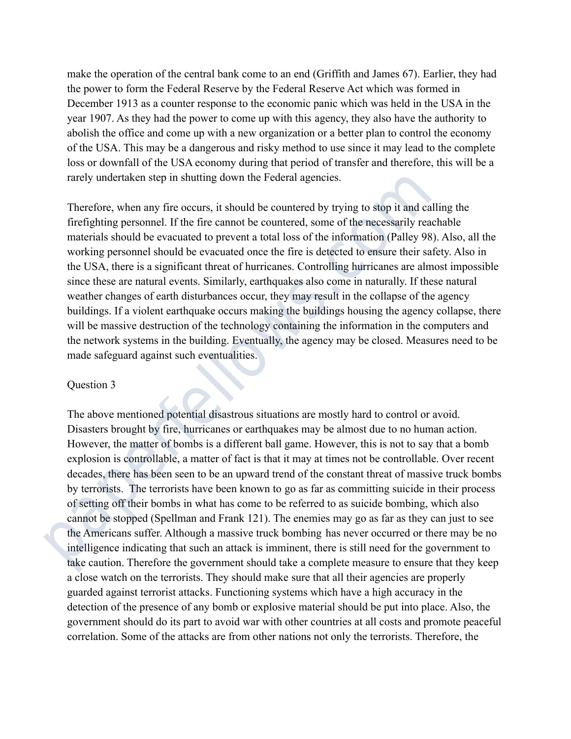make the operation of the central bank come to an end (Griffith and James 67). Earlier, they had the power to form the Federal Reserve by the Federal Reserve Act which was formed in December 1913 as a counter response to the economic panic which was held in the USA in the year 1907. As they had the power to come up with this agency, they also have the authority to abolish the office and come up with a new organization or a better plan to control the economy of the USA. This may be a dangerous and risky method to use since it may lead to the complete loss or downfall of the USA economy during that period of transfer and therefore, this will be a rarely undertaken step in shutting down the Federal agencies.

Therefore, when any fire occurs, it should be countered by trying to stop it and calling the firefighting personnel. If the fire cannot be countered, some of the necessarily reachable materials should be evacuated to prevent a total loss of the information (Palley 98). Also, all the working personnel should be evacuated once the fire is detected to ensure their safety. Also in the USA, there is a significant threat of hurricanes. Controlling hurricanes are almost impossible since these are natural events. Similarly, earthquakes also come in naturally. If these natural weather changes of earth disturbances occur, they may result in the collapse of the agency buildings. If a violent earthquake occurs making the buildings housing the agency collapse, there will be massive destruction of the technology containing the information in the computers and the network systems in the building. Eventually, the agency may be closed. Measures need to be made safeguard against such eventualities.

# Question 3

The above mentioned potential disastrous situations are mostly hard to control or avoid. Disasters brought by fire, hurricanes or earthquakes may be almost due to no human action. However, the matter of bombs is a different ball game. However, this is not to say that a bomb explosion is controllable, a matter of fact is that it may at times not be controllable. Over recent decades, there has been seen to be an upward trend of the constant threat of massive truck bombs by terrorists. The terrorists have been known to go as far as committing suicide in their process of setting off their bombs in what has come to be referred to as suicide bombing, which also cannot be stopped (Spellman and Frank 121). The enemies may go as far as they can just to see the Americans suffer. Although a massive truck bombing has never occurred or there may be no intelligence indicating that such an attack is imminent, there is still need for the government to take caution. Therefore the government should take a complete measure to ensure that they keep a close watch on the terrorists. They should make sure that all their agencies are properly guarded against terrorist attacks. Functioning systems which have a high accuracy in the detection of the presence of any bomb or explosive material should be put into place. Also, the government should do its part to avoid war with other countries at all costs and promote peaceful correlation. Some of the attacks are from other nations not only the terrorists. Therefore, the rarely undertaken step in shutting down the Federal agencies.<br>
Therefore, when any fire occurs, it should be countered by trying to stop it and cal<br>
firefighting personnel. If the fire cannot be countered, some of the nece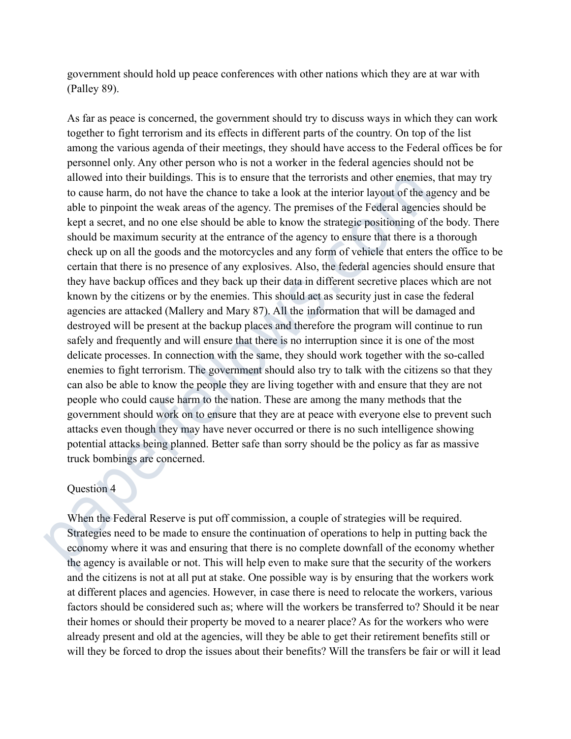government should hold up peace conferences with other nations which they are at war with (Palley 89).

As far as peace is concerned, the government should try to discuss ways in which they can work together to fight terrorism and its effects in different parts of the country. On top of the list among the various agenda of their meetings, they should have access to the Federal offices be for personnel only. Any other person who is not a worker in the federal agencies should not be allowed into their buildings. This is to ensure that the terrorists and other enemies, that may try to cause harm, do not have the chance to take a look at the interior layout of the agency and be able to pinpoint the weak areas of the agency. The premises of the Federal agencies should be kept a secret, and no one else should be able to know the strategic positioning of the body. There should be maximum security at the entrance of the agency to ensure that there is a thorough check up on all the goods and the motorcycles and any form of vehicle that enters the office to be certain that there is no presence of any explosives. Also, the federal agencies should ensure that they have backup offices and they back up their data in different secretive places which are not known by the citizens or by the enemies. This should act as security just in case the federal agencies are attacked (Mallery and Mary 87). All the information that will be damaged and destroyed will be present at the backup places and therefore the program will continue to run safely and frequently and will ensure that there is no interruption since it is one of the most delicate processes. In connection with the same, they should work together with the so-called enemies to fight terrorism. The government should also try to talk with the citizens so that they can also be able to know the people they are living together with and ensure that they are not people who could cause harm to the nation. These are among the many methods that the government should work on to ensure that they are at peace with everyone else to prevent such attacks even though they may have never occurred or there is no such intelligence showing potential attacks being planned. Better safe than sorry should be the policy as far as massive truck bombings are concerned. allowed into their buildings. This is to ensure that the terrorists and other enemies,<br>to cause harm, do not have the chance to take a look at the interior layout of the age<br>able to pinpoint the weak areas of the agency. T

### Question 4

When the Federal Reserve is put off commission, a couple of strategies will be required. Strategies need to be made to ensure the continuation of operations to help in putting back the economy where it was and ensuring that there is no complete downfall of the economy whether the agency is available or not. This will help even to make sure that the security of the workers and the citizens is not at all put at stake. One possible way is by ensuring that the workers work at different places and agencies. However, in case there is need to relocate the workers, various factors should be considered such as; where will the workers be transferred to? Should it be near their homes or should their property be moved to a nearer place? As for the workers who were already present and old at the agencies, will they be able to get their retirement benefits still or will they be forced to drop the issues about their benefits? Will the transfers be fair or will it lead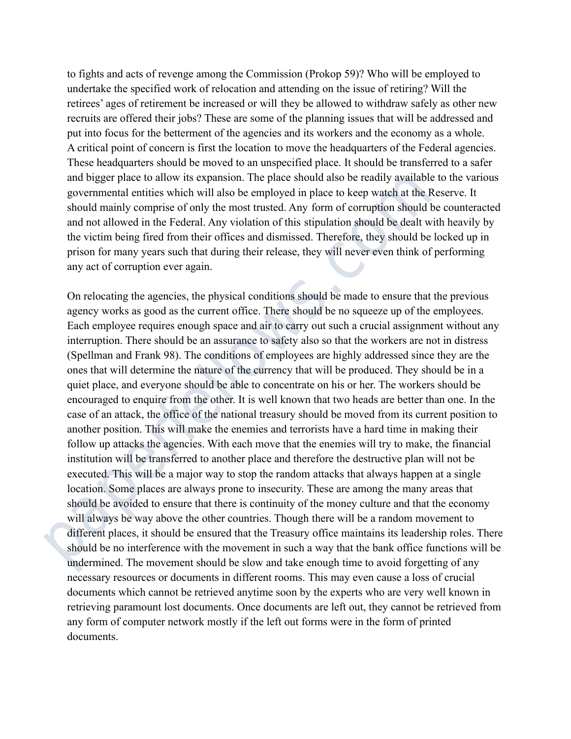to fights and acts of revenge among the Commission (Prokop 59)? Who will be employed to undertake the specified work of relocation and attending on the issue of retiring? Will the retirees' ages of retirement be increased or will they be allowed to withdraw safely as other new recruits are offered their jobs? These are some of the planning issues that will be addressed and put into focus for the betterment of the agencies and its workers and the economy as a whole. A critical point of concern is first the location to move the headquarters of the Federal agencies. These headquarters should be moved to an unspecified place. It should be transferred to a safer and bigger place to allow its expansion. The place should also be readily available to the various governmental entities which will also be employed in place to keep watch at the Reserve. It should mainly comprise of only the most trusted. Any form of corruption should be counteracted and not allowed in the Federal. Any violation of this stipulation should be dealt with heavily by the victim being fired from their offices and dismissed. Therefore, they should be locked up in prison for many years such that during their release, they will never even think of performing any act of corruption ever again.

On relocating the agencies, the physical conditions should be made to ensure that the previous agency works as good as the current office. There should be no squeeze up of the employees. Each employee requires enough space and air to carry out such a crucial assignment without any interruption. There should be an assurance to safety also so that the workers are not in distress (Spellman and Frank 98). The conditions of employees are highly addressed since they are the ones that will determine the nature of the currency that will be produced. They should be in a quiet place, and everyone should be able to concentrate on his or her. The workers should be encouraged to enquire from the other. It is well known that two heads are better than one. In the case of an attack, the office of the national treasury should be moved from its current position to another position. This will make the enemies and terrorists have a hard time in making their follow up attacks the agencies. With each move that the enemies will try to make, the financial institution will be transferred to another place and therefore the destructive plan will not be executed. This will be a major way to stop the random attacks that always happen at a single location. Some places are always prone to insecurity. These are among the many areas that should be avoided to ensure that there is continuity of the money culture and that the economy will always be way above the other countries. Though there will be a random movement to different places, it should be ensured that the Treasury office maintains its leadership roles. There should be no interference with the movement in such a way that the bank office functions will be undermined. The movement should be slow and take enough time to avoid forgetting of any necessary resources or documents in different rooms. This may even cause a loss of crucial documents which cannot be retrieved anytime soon by the experts who are very well known in retrieving paramount lost documents. Once documents are left out, they cannot be retrieved from any form of computer network mostly if the left out forms were in the form of printed documents. and bigger place to allow its expansion. The place should also be readily available<br>governmental entities which vill also be employed in place to keep wath at the R should manily comprise of only the most trusted. Any form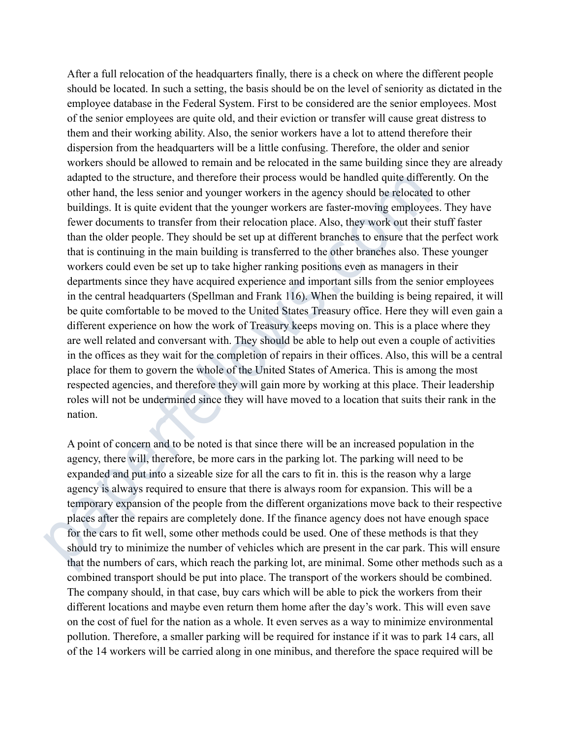After a full relocation of the headquarters finally, there is a check on where the different people should be located. In such a setting, the basis should be on the level of seniority as dictated in the employee database in the Federal System. First to be considered are the senior employees. Most of the senior employees are quite old, and their eviction or transfer will cause great distress to them and their working ability. Also, the senior workers have a lot to attend therefore their dispersion from the headquarters will be a little confusing. Therefore, the older and senior workers should be allowed to remain and be relocated in the same building since they are already adapted to the structure, and therefore their process would be handled quite differently. On the other hand, the less senior and younger workers in the agency should be relocated to other buildings. It is quite evident that the younger workers are faster-moving employees. They have fewer documents to transfer from their relocation place. Also, they work out their stuff faster than the older people. They should be set up at different branches to ensure that the perfect work that is continuing in the main building is transferred to the other branches also. These younger workers could even be set up to take higher ranking positions even as managers in their departments since they have acquired experience and important sills from the senior employees in the central headquarters (Spellman and Frank 116). When the building is being repaired, it will be quite comfortable to be moved to the United States Treasury office. Here they will even gain a different experience on how the work of Treasury keeps moving on. This is a place where they are well related and conversant with. They should be able to help out even a couple of activities in the offices as they wait for the completion of repairs in their offices. Also, this will be a central place for them to govern the whole of the United States of America. This is among the most respected agencies, and therefore they will gain more by working at this place. Their leadership roles will not be undermined since they will have moved to a location that suits their rank in the nation. adapted to the structure, and therefore their process would be handled quite differe<br>other hand, the less senior and younger workers in the agency should be relocated<br>buildings. It is quite civident that the younger worker

A point of concern and to be noted is that since there will be an increased population in the agency, there will, therefore, be more cars in the parking lot. The parking will need to be expanded and put into a sizeable size for all the cars to fit in. this is the reason why a large agency is always required to ensure that there is always room for expansion. This will be a temporary expansion of the people from the different organizations move back to their respective places after the repairs are completely done. If the finance agency does not have enough space for the cars to fit well, some other methods could be used. One of these methods is that they should try to minimize the number of vehicles which are present in the car park. This will ensure that the numbers of cars, which reach the parking lot, are minimal. Some other methods such as a combined transport should be put into place. The transport of the workers should be combined. The company should, in that case, buy cars which will be able to pick the workers from their different locations and maybe even return them home after the day's work. This will even save on the cost of fuel for the nation as a whole. It even serves as a way to minimize environmental pollution. Therefore, a smaller parking will be required for instance if it was to park 14 cars, all of the 14 workers will be carried along in one minibus, and therefore the space required will be